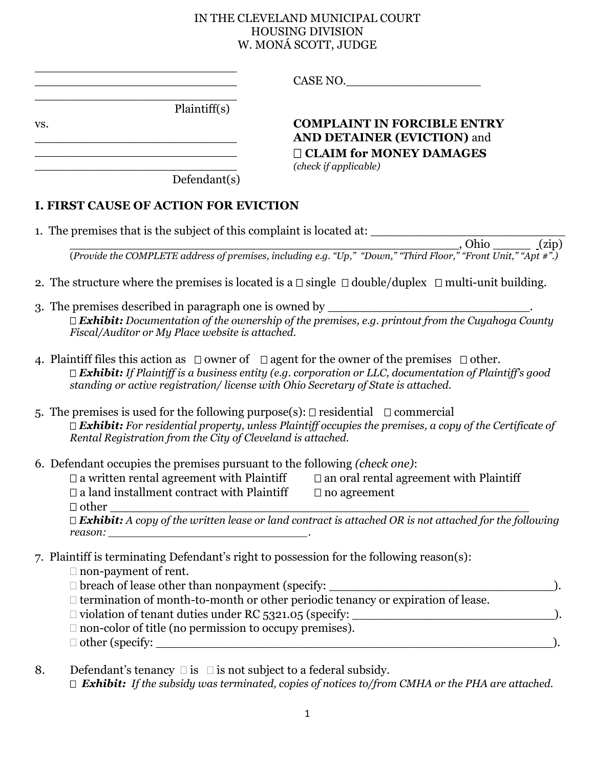## IN THE CLEVELAND MUNICIPAL COURT HOUSING DIVISION W. MONÁ SCOTT, JUDGE

|     | <u> 1989 - Jan James Barnett, mendekan berasar berasar berasar berasar berasar berasar berasar berasar berasar b</u>                                                                                                                                            | CASE NO.                                                                                                                                                                                                                    |
|-----|-----------------------------------------------------------------------------------------------------------------------------------------------------------------------------------------------------------------------------------------------------------------|-----------------------------------------------------------------------------------------------------------------------------------------------------------------------------------------------------------------------------|
|     | <u> 1989 - Johann Stein, marwolaethau a bhann an t-</u><br>Plaintiff(s)                                                                                                                                                                                         |                                                                                                                                                                                                                             |
| VS. |                                                                                                                                                                                                                                                                 | <b>COMPLAINT IN FORCIBLE ENTRY</b><br><b>AND DETAINER (EVICTION) and</b>                                                                                                                                                    |
|     | <u> La componenta de la componenta de la componenta de la componenta de la componenta de la componenta de la compo</u><br><u> 1980 - Jan Barat, margaret amerikan basal dan berasal dalam basal dan berasal dan berasal dan berasal dan ber</u><br>Defendant(s) | <b>CLAIM for MONEY DAMAGES</b><br>(check if applicable)                                                                                                                                                                     |
|     |                                                                                                                                                                                                                                                                 |                                                                                                                                                                                                                             |
|     | <b>I. FIRST CAUSE OF ACTION FOR EVICTION</b>                                                                                                                                                                                                                    |                                                                                                                                                                                                                             |
|     | 1. The premises that is the subject of this complaint is located at: ____________                                                                                                                                                                               |                                                                                                                                                                                                                             |
|     |                                                                                                                                                                                                                                                                 |                                                                                                                                                                                                                             |
|     |                                                                                                                                                                                                                                                                 | 2. The structure where the premises is located is a $\Box$ single $\Box$ double/duplex $\Box$ multi-unit building.                                                                                                          |
|     | 3. The premises described in paragraph one is owned by                                                                                                                                                                                                          |                                                                                                                                                                                                                             |
|     | Fiscal/Auditor or My Place website is attached.                                                                                                                                                                                                                 | $\Box$ Exhibit: Documentation of the ownership of the premises, e.g. printout from the Cuyahoga County                                                                                                                      |
|     | standing or active registration/license with Ohio Secretary of State is attached.                                                                                                                                                                               | 4. Plaintiff files this action as $\Box$ owner of $\Box$ agent for the owner of the premises $\Box$ other.<br>$\Box$ Exhibit: If Plaintiff is a business entity (e.g. corporation or LLC, documentation of Plaintiff's good |
|     | 5. The premises is used for the following purpose(s): $\Box$ residential $\Box$ commercial<br>Rental Registration from the City of Cleveland is attached.                                                                                                       | $\Box$ Exhibit: For residential property, unless Plaintiff occupies the premises, a copy of the Certificate of                                                                                                              |
|     | 6. Defendant occupies the premises pursuant to the following (check one):<br>$\Box$ a land installment contract with Plaintiff $\Box$ no agreement<br>$\Box$ other                                                                                              | $\Box$ a written rental agreement with Plaintiff $\Box$ an oral rental agreement with Plaintiff                                                                                                                             |
|     |                                                                                                                                                                                                                                                                 | $\Box$ butter $\Box$<br>$\Box$ <b>Exhibit:</b> A copy of the written lease or land contract is attached OR is not attached for the following                                                                                |
|     | 7. Plaintiff is terminating Defendant's right to possession for the following reason(s):<br>$\Box$ non-payment of rent.                                                                                                                                         |                                                                                                                                                                                                                             |
|     | □ breach of lease other than nonpayment (specify: _                                                                                                                                                                                                             |                                                                                                                                                                                                                             |
|     |                                                                                                                                                                                                                                                                 | $\Box$ termination of month-to-month or other periodic tenancy or expiration of lease.                                                                                                                                      |
|     | $\Box$ non-color of title (no permission to occupy premises).                                                                                                                                                                                                   |                                                                                                                                                                                                                             |
|     |                                                                                                                                                                                                                                                                 |                                                                                                                                                                                                                             |
| 8.  | Defendant's tenancy $\square$ is $\square$ is not subject to a federal subsidy.                                                                                                                                                                                 | $\Box$ Exhibit: If the subsidy was terminated, copies of notices to/from CMHA or the PHA are attached.                                                                                                                      |